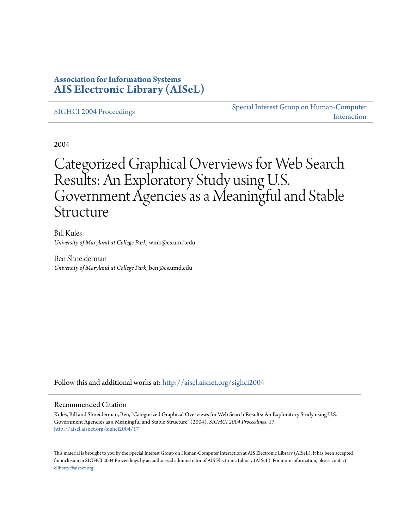### **Association for Information Systems [AIS Electronic Library \(AISeL\)](http://aisel.aisnet.org?utm_source=aisel.aisnet.org%2Fsighci2004%2F17&utm_medium=PDF&utm_campaign=PDFCoverPages)**

[SIGHCI 2004 Proceedings](http://aisel.aisnet.org/sighci2004?utm_source=aisel.aisnet.org%2Fsighci2004%2F17&utm_medium=PDF&utm_campaign=PDFCoverPages)

[Special Interest Group on Human-Computer](http://aisel.aisnet.org/sighci?utm_source=aisel.aisnet.org%2Fsighci2004%2F17&utm_medium=PDF&utm_campaign=PDFCoverPages) [Interaction](http://aisel.aisnet.org/sighci?utm_source=aisel.aisnet.org%2Fsighci2004%2F17&utm_medium=PDF&utm_campaign=PDFCoverPages)

2004

# Categorized Graphical Overviews for Web Search Results: An Exploratory Study using U.S. Government Agencies as a Meaningful and Stable Structure

Bill Kules *University of Maryland at College Park*, wmk@cs.umd.edu

Ben Shneiderman *University of Maryland at College Park*, ben@cs.umd.edu

Follow this and additional works at: [http://aisel.aisnet.org/sighci2004](http://aisel.aisnet.org/sighci2004?utm_source=aisel.aisnet.org%2Fsighci2004%2F17&utm_medium=PDF&utm_campaign=PDFCoverPages)

#### Recommended Citation

Kules, Bill and Shneiderman, Ben, "Categorized Graphical Overviews for Web Search Results: An Exploratory Study using U.S. Government Agencies as a Meaningful and Stable Structure" (2004). *SIGHCI 2004 Proceedings*. 17. [http://aisel.aisnet.org/sighci2004/17](http://aisel.aisnet.org/sighci2004/17?utm_source=aisel.aisnet.org%2Fsighci2004%2F17&utm_medium=PDF&utm_campaign=PDFCoverPages)

This material is brought to you by the Special Interest Group on Human-Computer Interaction at AIS Electronic Library (AISeL). It has been accepted for inclusion in SIGHCI 2004 Proceedings by an authorized administrator of AIS Electronic Library (AISeL). For more information, please contact [elibrary@aisnet.org.](mailto:elibrary@aisnet.org%3E)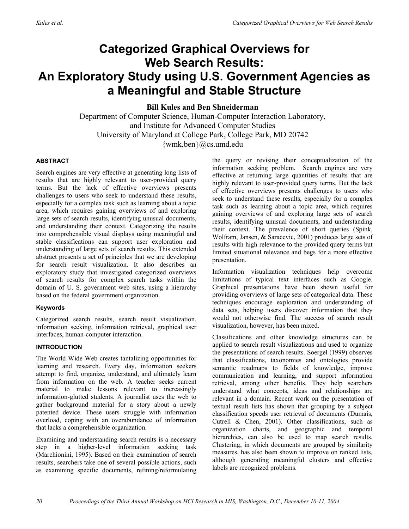## **Categorized Graphical Overviews for Web Search Results: An Exploratory Study using U.S. Government Agencies as a Meaningful and Stable Structure**

**Bill Kules and Ben Shneiderman** 

Department of Computer Science, Human-Computer Interaction Laboratory, and Institute for Advanced Computer Studies University of Maryland at College Park, College Park, MD 20742 {wmk,ben}@cs.umd.edu

#### **ABSTRACT**

Search engines are very effective at generating long lists of results that are highly relevant to user-provided query terms. But the lack of effective overviews presents challenges to users who seek to understand these results, especially for a complex task such as learning about a topic area, which requires gaining overviews of and exploring large sets of search results, identifying unusual documents, and understanding their context. Categorizing the results into comprehensible visual displays using meaningful and stable classifications can support user exploration and understanding of large sets of search results. This extended abstract presents a set of principles that we are developing for search result visualization. It also describes an exploratory study that investigated categorized overviews of search results for complex search tasks within the domain of U. S. government web sites, using a hierarchy based on the federal government organization.

#### **Keywords**

Categorized search results, search result visualization, information seeking, information retrieval, graphical user interfaces, human-computer interaction.

#### **INTRODUCTION**

The World Wide Web creates tantalizing opportunities for learning and research. Every day, information seekers attempt to find, organize, understand, and ultimately learn from information on the web. A teacher seeks current material to make lessons relevant to increasingly information-glutted students. A journalist uses the web to gather background material for a story about a newly patented device. These users struggle with information overload, coping with an overabundance of information that lacks a comprehensible organization.

Examining and understanding search results is a necessary step in a higher-level information seeking task (Marchionini, 1995). Based on their examination of search results, searchers take one of several possible actions, such as examining specific documents, refining/reformulating

the query or revising their conceptualization of the information seeking problem. Search engines are very effective at returning large quantities of results that are highly relevant to user-provided query terms. But the lack of effective overviews presents challenges to users who seek to understand these results, especially for a complex task such as learning about a topic area, which requires gaining overviews of and exploring large sets of search results, identifying unusual documents, and understanding their context. The prevalence of short queries (Spink, Wolfram, Jansen, & Saracevic, 2001) produces large sets of results with high relevance to the provided query terms but limited situational relevance and begs for a more effective presentation.

Information visualization techniques help overcome limitations of typical text interfaces such as Google. Graphical presentations have been shown useful for providing overviews of large sets of categorical data. These techniques encourage exploration and understanding of data sets, helping users discover information that they would not otherwise find. The success of search result visualization, however, has been mixed.

Classifications and other knowledge structures can be applied to search result visualizations and used to organize the presentations of search results. Soergel (1999) observes that classifications, taxonomies and ontologies provide semantic roadmaps to fields of knowledge, improve communication and learning, and support information retrieval, among other benefits. They help searchers understand what concepts, ideas and relationships are relevant in a domain. Recent work on the presentation of textual result lists has shown that grouping by a subject classification speeds user retrieval of documents (Dumais, Cutrell & Chen, 2001). Other classifications, such as organization charts, and geographic and temporal hierarchies, can also be used to map search results. Clustering, in which documents are grouped by similarity measures, has also been shown to improve on ranked lists, although generating meaningful clusters and effective labels are recognized problems.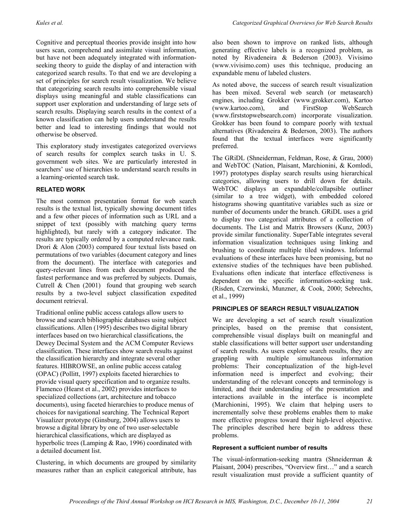Cognitive and perceptual theories provide insight into how users scan, comprehend and assimilate visual information, but have not been adequately integrated with informationseeking theory to guide the display of and interaction with categorized search results. To that end we are developing a set of principles for search result visualization. We believe that categorizing search results into comprehensible visual displays using meaningful and stable classifications can support user exploration and understanding of large sets of search results. Displaying search results in the context of a known classification can help users understand the results better and lead to interesting findings that would not otherwise be observed.

This exploratory study investigates categorized overviews of search results for complex search tasks in U. S. government web sites. We are particularly interested in searchers' use of hierarchies to understand search results in a learning-oriented search task.

#### **RELATED WORK**

The most common presentation format for web search results is the textual list, typically showing document titles and a few other pieces of information such as URL and a snippet of text (possibly with matching query terms highlighted), but rarely with a category indicator. The results are typically ordered by a computed relevance rank. Drori & Alon (2003) compared four textual lists based on permutations of two variables (document category and lines from the document). The interface with categories and query-relevant lines from each document produced the fastest performance and was preferred by subjects. Dumais, Cutrell & Chen (2001) found that grouping web search results by a two-level subject classification expedited document retrieval.

Traditional online public access catalogs allow users to browse and search bibliographic databases using subject classifications. Allen (1995) describes two digital library interfaces based on two hierarchical classifications, the Dewey Decimal System and the ACM Computer Reviews classification. These interfaces show search results against the classification hierarchy and integrate several other features. HIBROWSE, an online public access catalog (OPAC) (Pollitt, 1997) exploits faceted hierarchies to provide visual query specification and to organize results. Flamenco (Hearst et al., 2002) provides interfaces to specialized collections (art, architecture and tobacco documents), using faceted hierarchies to produce menus of choices for navigational searching. The Technical Report Visualizer prototype (Ginsburg, 2004) allows users to browse a digital library by one of two user-selectable hierarchical classifications, which are displayed as hyperbolic trees (Lamping & Rao, 1996) coordinated with a detailed document list.

Clustering, in which documents are grouped by similarity measures rather than an explicit categorical attribute, has also been shown to improve on ranked lists, although generating effective labels is a recognized problem, as noted by Rivadeneira & Bederson (2003). Vivisimo (www.vivisimo.com) uses this technique, producing an expandable menu of labeled clusters.

As noted above, the success of search result visualization has been mixed. Several web search (or metasearch) engines, including Grokker (www.grokker.com), Kartoo (www.kartoo.com), and FirstStop WebSearch (www.firststopwebsearch.com) incorporate visualization. Grokker has been found to compare poorly with textual alternatives (Rivadeneira & Bederson, 2003). The authors found that the textual interfaces were significantly preferred.

The GRiDL (Shneiderman, Feldman, Rose, & Grau, 2000) and WebTOC (Nation, Plaisant, Marchionini, & Komlodi, 1997) prototypes display search results using hierarchical categories, allowing users to drill down for details. WebTOC displays an expandable/collapsible outliner (similar to a tree widget), with embedded colored histograms showing quantitative variables such as size or number of documents under the branch. GRiDL uses a grid to display two categorical attributes of a collection of documents. The List and Matrix Browsers (Kunz, 2003) provide similar functionality. SuperTable integrates several information visualization techniques using linking and brushing to coordinate multiple tiled windows. Informal evaluations of these interfaces have been promising, but no extensive studies of the techniques have been published. Evaluations often indicate that interface effectiveness is dependent on the specific information-seeking task. (Risden, Czerwinski, Munzner, & Cook, 2000; Sebrechts, et al., 1999)

#### **PRINCIPLES OF SEARCH RESULT VISUALIZATION**

We are developing a set of search result visualization principles, based on the premise that consistent, comprehensible visual displays built on meaningful and stable classifications will better support user understanding of search results. As users explore search results, they are grappling with multiple simultaneous information problems: Their conceptualization of the high-level information need is imperfect and evolving; their understanding of the relevant concepts and terminology is limited, and their understanding of the presentation and interactions available in the interface is incomplete (Marchionini, 1995). We claim that helping users to incrementally solve these problems enables them to make more effective progress toward their high-level objective. The principles described here begin to address these problems.

#### **Represent a sufficient number of results**

The visual-information-seeking mantra (Shneiderman & Plaisant, 2004) prescribes, "Overview first…" and a search result visualization must provide a sufficient quantity of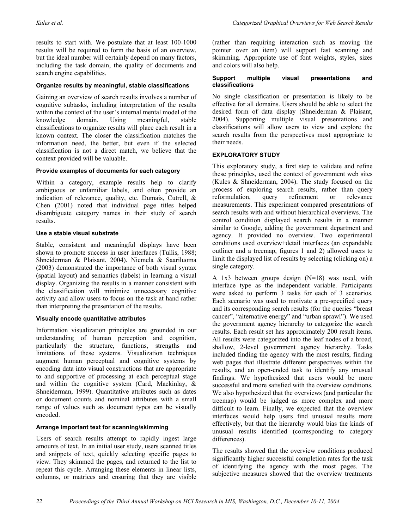results to start with. We postulate that at least 100-1000 results will be required to form the basis of an overview, but the ideal number will certainly depend on many factors, including the task domain, the quality of documents and search engine capabilities.

#### **Organize results by meaningful, stable classifications**

Gaining an overview of search results involves a number of cognitive subtasks, including interpretation of the results within the context of the user's internal mental model of the knowledge domain. Using meaningful, stable classifications to organize results will place each result in a known context. The closer the classification matches the information need, the better, but even if the selected classification is not a direct match, we believe that the context provided will be valuable.

#### **Provide examples of documents for each category**

Within a category, example results help to clarify ambiguous or unfamiliar labels, and often provide an indication of relevance, quality, etc. Dumais, Cutrell, & Chen (2001) noted that individual page titles helped disambiguate category names in their study of search results.

#### **Use a stable visual substrate**

Stable, consistent and meaningful displays have been shown to promote success in user interfaces (Tullis, 1988; Shneiderman & Plaisant, 2004). Niemela & Saariluoma (2003) demonstrated the importance of both visual syntax (spatial layout) and semantics (labels) in learning a visual display. Organizing the results in a manner consistent with the classification will minimize unnecessary cognitive activity and allow users to focus on the task at hand rather than interpreting the presentation of the results.

#### **Visually encode quantitative attributes**

Information visualization principles are grounded in our understanding of human perception and cognition, particularly the structure, functions, strengths and limitations of these systems. Visualization techniques augment human perceptual and cognitive systems by encoding data into visual constructions that are appropriate to and supportive of processing at each perceptual stage and within the cognitive system (Card, Mackinlay, & Shneiderman, 1999). Quantitative attributes such as dates or document counts and nominal attributes with a small range of values such as document types can be visually encoded.

#### **Arrange important text for scanning/skimming**

Users of search results attempt to rapidly ingest large amounts of text. In an initial user study, users scanned titles and snippets of text, quickly selecting specific pages to view. They skimmed the pages, and returned to the list to repeat this cycle. Arranging these elements in linear lists, columns, or matrices and ensuring that they are visible (rather than requiring interaction such as moving the pointer over an item) will support fast scanning and skimming. Appropriate use of font weights, styles, sizes and colors will also help.

#### **Support multiple visual presentations and classifications**

No single classification or presentation is likely to be effective for all domains. Users should be able to select the desired form of data display (Shneiderman & Plaisant, 2004). Supporting multiple visual presentations and classifications will allow users to view and explore the search results from the perspectives most appropriate to their needs.

#### **EXPLORATORY STUDY**

This exploratory study, a first step to validate and refine these principles, used the context of government web sites (Kules & Shneiderman, 2004). The study focused on the process of exploring search results, rather than query reformulation, query refinement or relevance measurements. This experiment compared presentations of search results with and without hierarchical overviews. The control condition displayed search results in a manner similar to Google, adding the government department and agency. It provided no overview. Two experimental conditions used overview+detail interfaces (an expandable outliner and a treemap, figures 1 and 2) allowed users to limit the displayed list of results by selecting (clicking on) a single category.

A 1x3 between groups design (N=18) was used, with interface type as the independent variable. Participants were asked to perform 3 tasks for each of 3 scenarios. Each scenario was used to motivate a pre-specified query and its corresponding search results (for the queries "breast cancer", "alternative energy" and "urban sprawl"). We used the government agency hierarchy to categorize the search results. Each result set has approximately 200 result items. All results were categorized into the leaf nodes of a broad, shallow, 2-level government agency hierarchy. Tasks included finding the agency with the most results, finding web pages that illustrate different perspectives within the results, and an open-ended task to identify any unusual findings. We hypothesized that users would be more successful and more satisfied with the overview conditions. We also hypothesized that the overviews (and particular the treemap) would be judged as more complex and more difficult to learn. Finally, we expected that the overview interfaces would help users find unusual results more effectively, but that the hierarchy would bias the kinds of unusual results identified (corresponding to category differences).

The results showed that the overview conditions produced significantly higher successful completion rates for the task of identifying the agency with the most pages. The subjective measures showed that the overview treatments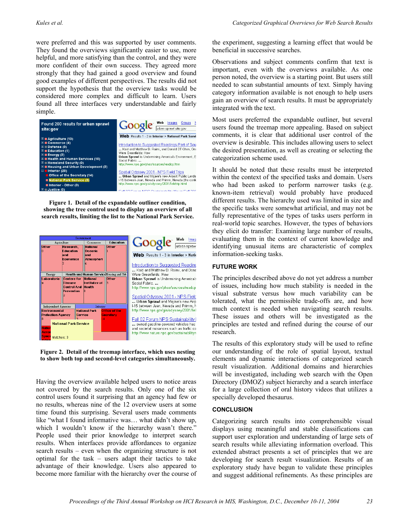were preferred and this was supported by user comments. They found the overviews significantly easier to use, more helpful, and more satisfying than the control, and they were more confident of their own success. They agreed more strongly that they had gained a good overview and found good examples of different perspectives. The results did not support the hypothesis that the overview tasks would be considered more complex and difficult to learn. Users found all three interfaces very understandable and fairly simple.



**Figure 1. Detail of the expandable outliner condition, showing the tree control used to display an overview of all search results, limiting the list to the National Park Service.** 



**Figure 2. Detail of the treemap interface, which uses nesting to show both top and second-level categories simultaneously.** 

Having the overview available helped users to notice areas not covered by the search results. Only one of the six control users found it surprising that an agency had few or no results, whereas nine of the 12 overview users at some time found this surprising. Several users made comments like "what I found informative was… what didn't show up, which I wouldn't know if the hierarchy wasn't there." People used their prior knowledge to interpret search results. When interfaces provide affordances to organize search results – even when the organizing structure is not optimal for the task – users adapt their tactics to take advantage of their knowledge. Users also appeared to become more familiar with the hierarchy over the course of the experiment, suggesting a learning effect that would be beneficial in successive searches.

Observations and subject comments confirm that text is important, even with the overviews available. As one person noted, the overview is a starting point. But users still needed to scan substantial amounts of text. Simply having category information available is not enough to help users gain an overview of search results. It must be appropriately integrated with the text.

Most users preferred the expandable outliner, but several users found the treemap more appealing. Based on subject comments, it is clear that additional user control of the overview is desirable. This includes allowing users to select the desired presentation, as well as creating or selecting the categorization scheme used.

It should be noted that these results must be interpreted within the context of the specified tasks and domain. Users who had been asked to perform narrower tasks (e.g. known-item retrieval) would probably have produced different results. The hierarchy used was limited in size and the specific tasks were somewhat artificial, and may not be fully representative of the types of tasks users perform in real-world topic searches. However, the types of behaviors they elicit do transfer: Examining large number of results, evaluating them in the context of current knowledge and identifying unusual items are characteristic of complex information-seeking tasks.

#### **FUTURE WORK**

The principles described above do not yet address a number of issues, including how much stability is needed in the visual substrate versus how much variability can be tolerated, what the permissible trade-offs are, and how much context is needed when navigating search results. These issues and others will be investigated as the principles are tested and refined during the course of our research.

The results of this exploratory study will be used to refine our understanding of the role of spatial layout, textual elements and dynamic interactions of categorized search result visualization. Additional domains and hierarchies will be investigated, including web search with the Open Directory (DMOZ) subject hierarchy and a search interface for a large collection of oral history videos that utilizes a specially developed thesaurus.

#### **CONCLUSION**

Categorizing search results into comprehensible visual displays using meaningful and stable classifications can support user exploration and understanding of large sets of search results while alleviating information overload. This extended abstract presents a set of principles that we are developing for search result visualization. Results of an exploratory study have begun to validate these principles and suggest additional refinements. As these principles are